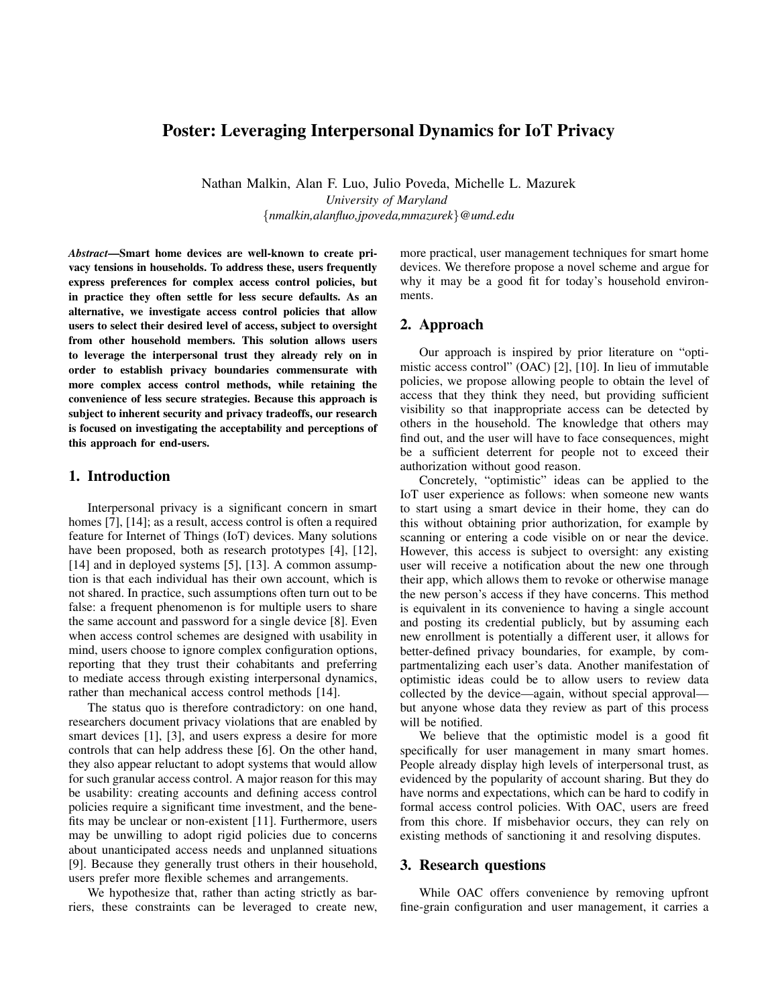# Poster: Leveraging Interpersonal Dynamics for IoT Privacy

Nathan Malkin, Alan F. Luo, Julio Poveda, Michelle L. Mazurek *University of Maryland* {*nmalkin,alanfluo,jpoveda,mmazurek*}*@umd.edu*

*Abstract*—Smart home devices are well-known to create privacy tensions in households. To address these, users frequently express preferences for complex access control policies, but in practice they often settle for less secure defaults. As an alternative, we investigate access control policies that allow users to select their desired level of access, subject to oversight from other household members. This solution allows users to leverage the interpersonal trust they already rely on in order to establish privacy boundaries commensurate with more complex access control methods, while retaining the convenience of less secure strategies. Because this approach is subject to inherent security and privacy tradeoffs, our research is focused on investigating the acceptability and perceptions of this approach for end-users.

#### 1. Introduction

Interpersonal privacy is a significant concern in smart homes [7], [14]; as a result, access control is often a required feature for Internet of Things (IoT) devices. Many solutions have been proposed, both as research prototypes [4], [12], [14] and in deployed systems [5], [13]. A common assumption is that each individual has their own account, which is not shared. In practice, such assumptions often turn out to be false: a frequent phenomenon is for multiple users to share the same account and password for a single device [8]. Even when access control schemes are designed with usability in mind, users choose to ignore complex configuration options, reporting that they trust their cohabitants and preferring to mediate access through existing interpersonal dynamics, rather than mechanical access control methods [14].

The status quo is therefore contradictory: on one hand, researchers document privacy violations that are enabled by smart devices [1], [3], and users express a desire for more controls that can help address these [6]. On the other hand, they also appear reluctant to adopt systems that would allow for such granular access control. A major reason for this may be usability: creating accounts and defining access control policies require a significant time investment, and the benefits may be unclear or non-existent [11]. Furthermore, users may be unwilling to adopt rigid policies due to concerns about unanticipated access needs and unplanned situations [9]. Because they generally trust others in their household, users prefer more flexible schemes and arrangements.

We hypothesize that, rather than acting strictly as barriers, these constraints can be leveraged to create new, more practical, user management techniques for smart home devices. We therefore propose a novel scheme and argue for why it may be a good fit for today's household environments.

## 2. Approach

Our approach is inspired by prior literature on "optimistic access control" (OAC) [2], [10]. In lieu of immutable policies, we propose allowing people to obtain the level of access that they think they need, but providing sufficient visibility so that inappropriate access can be detected by others in the household. The knowledge that others may find out, and the user will have to face consequences, might be a sufficient deterrent for people not to exceed their authorization without good reason.

Concretely, "optimistic" ideas can be applied to the IoT user experience as follows: when someone new wants to start using a smart device in their home, they can do this without obtaining prior authorization, for example by scanning or entering a code visible on or near the device. However, this access is subject to oversight: any existing user will receive a notification about the new one through their app, which allows them to revoke or otherwise manage the new person's access if they have concerns. This method is equivalent in its convenience to having a single account and posting its credential publicly, but by assuming each new enrollment is potentially a different user, it allows for better-defined privacy boundaries, for example, by compartmentalizing each user's data. Another manifestation of optimistic ideas could be to allow users to review data collected by the device—again, without special approval but anyone whose data they review as part of this process will be notified.

We believe that the optimistic model is a good fit specifically for user management in many smart homes. People already display high levels of interpersonal trust, as evidenced by the popularity of account sharing. But they do have norms and expectations, which can be hard to codify in formal access control policies. With OAC, users are freed from this chore. If misbehavior occurs, they can rely on existing methods of sanctioning it and resolving disputes.

## 3. Research questions

While OAC offers convenience by removing upfront fine-grain configuration and user management, it carries a